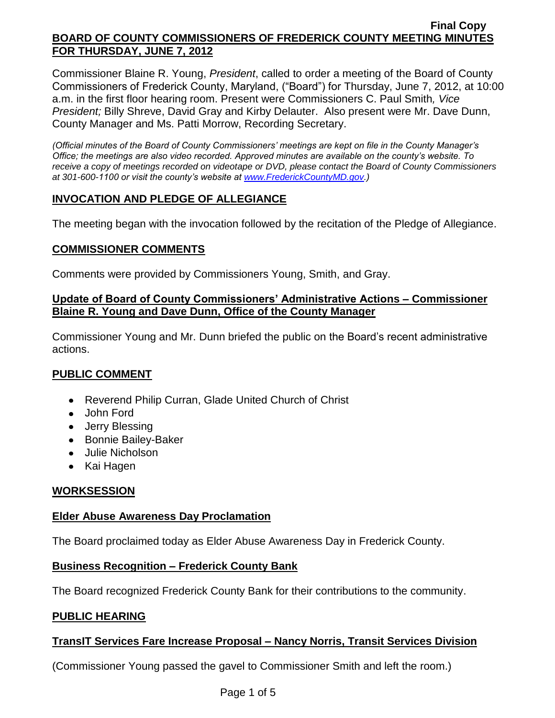Commissioner Blaine R. Young, *President*, called to order a meeting of the Board of County Commissioners of Frederick County, Maryland, ("Board") for Thursday, June 7, 2012, at 10:00 a.m. in the first floor hearing room. Present were Commissioners C. Paul Smith*, Vice President;* Billy Shreve, David Gray and Kirby Delauter. Also present were Mr. Dave Dunn, County Manager and Ms. Patti Morrow, Recording Secretary.

*(Official minutes of the Board of County Commissioners' meetings are kept on file in the County Manager's Office; the meetings are also video recorded. Approved minutes are available on the county's website. To receive a copy of meetings recorded on videotape or DVD, please contact the Board of County Commissioners at 301-600-1100 or visit the county's website at [www.FrederickCountyMD.gov.](http://www.frederickcountymd.gov/))*

# **INVOCATION AND PLEDGE OF ALLEGIANCE**

The meeting began with the invocation followed by the recitation of the Pledge of Allegiance.

## **COMMISSIONER COMMENTS**

Comments were provided by Commissioners Young, Smith, and Gray.

### **Update of Board of County Commissioners' Administrative Actions – Commissioner Blaine R. Young and Dave Dunn, Office of the County Manager**

Commissioner Young and Mr. Dunn briefed the public on the Board's recent administrative actions.

# **PUBLIC COMMENT**

- Reverend Philip Curran, Glade United Church of Christ
- John Ford
- Jerry Blessing
- Bonnie Bailey-Baker
- Julie Nicholson
- Kai Hagen

# **WORKSESSION**

### **Elder Abuse Awareness Day Proclamation**

The Board proclaimed today as Elder Abuse Awareness Day in Frederick County.

### **Business Recognition – Frederick County Bank**

The Board recognized Frederick County Bank for their contributions to the community.

# **PUBLIC HEARING**

# **TransIT Services Fare Increase Proposal – Nancy Norris, Transit Services Division**

(Commissioner Young passed the gavel to Commissioner Smith and left the room.)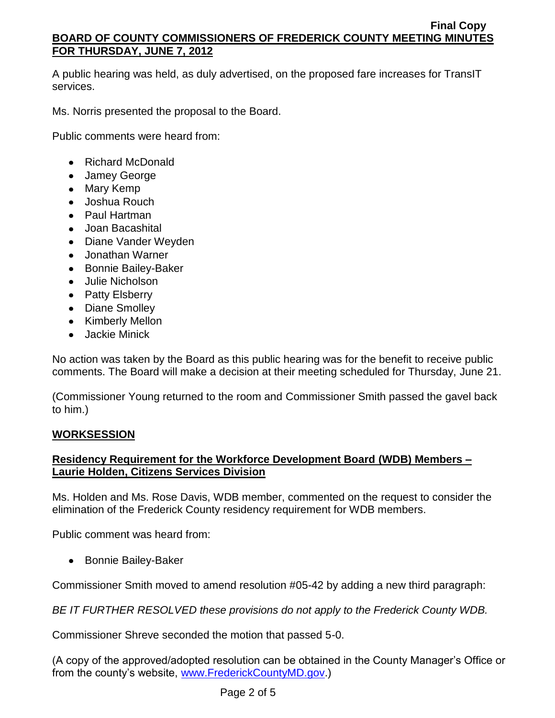A public hearing was held, as duly advertised, on the proposed fare increases for TransIT services.

Ms. Norris presented the proposal to the Board.

Public comments were heard from:

- Richard McDonald
- Jamey George
- Mary Kemp
- Joshua Rouch
- Paul Hartman
- Joan Bacashital
- Diane Vander Weyden
- Jonathan Warner
- Bonnie Bailey-Baker
- Julie Nicholson
- Patty Elsberry
- Diane Smolley
- Kimberly Mellon
- Jackie Minick

No action was taken by the Board as this public hearing was for the benefit to receive public comments. The Board will make a decision at their meeting scheduled for Thursday, June 21.

(Commissioner Young returned to the room and Commissioner Smith passed the gavel back to him.)

# **WORKSESSION**

# **Residency Requirement for the Workforce Development Board (WDB) Members – Laurie Holden, Citizens Services Division**

Ms. Holden and Ms. Rose Davis, WDB member, commented on the request to consider the elimination of the Frederick County residency requirement for WDB members.

Public comment was heard from:

• Bonnie Bailey-Baker

Commissioner Smith moved to amend resolution #05-42 by adding a new third paragraph:

*BE IT FURTHER RESOLVED these provisions do not apply to the Frederick County WDB.*

Commissioner Shreve seconded the motion that passed 5-0.

(A copy of the approved/adopted resolution can be obtained in the County Manager's Office or from the county's website, [www.FrederickCountyMD.gov.](http://www.frederickcountymd.gov/))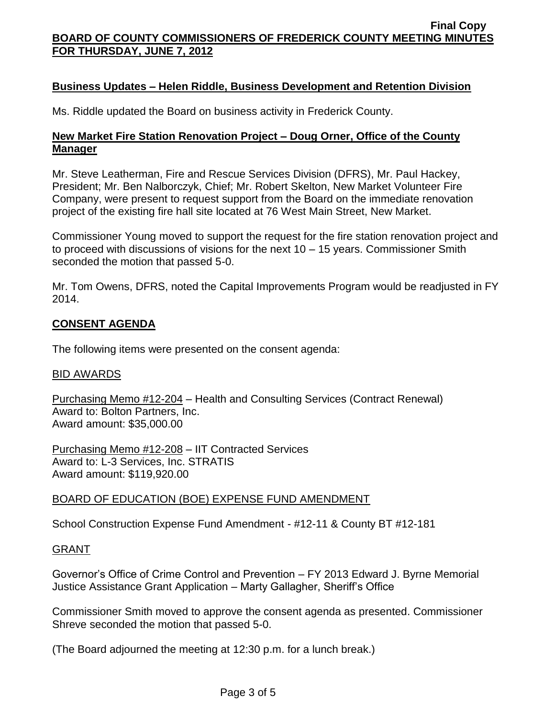## **Business Updates – Helen Riddle, Business Development and Retention Division**

Ms. Riddle updated the Board on business activity in Frederick County.

### **New Market Fire Station Renovation Project – Doug Orner, Office of the County Manager**

Mr. Steve Leatherman, Fire and Rescue Services Division (DFRS), Mr. Paul Hackey, President; Mr. Ben Nalborczyk, Chief; Mr. Robert Skelton, New Market Volunteer Fire Company, were present to request support from the Board on the immediate renovation project of the existing fire hall site located at 76 West Main Street, New Market.

Commissioner Young moved to support the request for the fire station renovation project and to proceed with discussions of visions for the next 10 – 15 years. Commissioner Smith seconded the motion that passed 5-0.

Mr. Tom Owens, DFRS, noted the Capital Improvements Program would be readjusted in FY 2014.

### **CONSENT AGENDA**

The following items were presented on the consent agenda:

#### BID AWARDS

Purchasing Memo #12-204 – Health and Consulting Services (Contract Renewal) Award to: Bolton Partners, Inc. Award amount: \$35,000.00

Purchasing Memo #12-208 – IIT Contracted Services Award to: L-3 Services, Inc. STRATIS Award amount: \$119,920.00

### BOARD OF EDUCATION (BOE) EXPENSE FUND AMENDMENT

School Construction Expense Fund Amendment - #12-11 & County BT #12-181

#### GRANT

Governor's Office of Crime Control and Prevention – FY 2013 Edward J. Byrne Memorial Justice Assistance Grant Application – Marty Gallagher, Sheriff's Office

Commissioner Smith moved to approve the consent agenda as presented. Commissioner Shreve seconded the motion that passed 5-0.

(The Board adjourned the meeting at 12:30 p.m. for a lunch break.)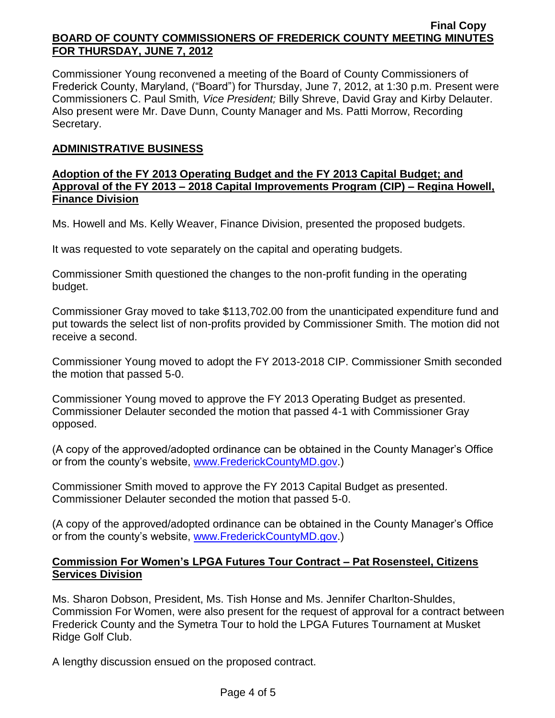Commissioner Young reconvened a meeting of the Board of County Commissioners of Frederick County, Maryland, ("Board") for Thursday, June 7, 2012, at 1:30 p.m. Present were Commissioners C. Paul Smith*, Vice President;* Billy Shreve, David Gray and Kirby Delauter. Also present were Mr. Dave Dunn, County Manager and Ms. Patti Morrow, Recording Secretary.

## **ADMINISTRATIVE BUSINESS**

### **Adoption of the FY 2013 Operating Budget and the FY 2013 Capital Budget; and Approval of the FY 2013 – 2018 Capital Improvements Program (CIP) – Regina Howell, Finance Division**

Ms. Howell and Ms. Kelly Weaver, Finance Division, presented the proposed budgets.

It was requested to vote separately on the capital and operating budgets.

Commissioner Smith questioned the changes to the non-profit funding in the operating budget.

Commissioner Gray moved to take \$113,702.00 from the unanticipated expenditure fund and put towards the select list of non-profits provided by Commissioner Smith. The motion did not receive a second.

Commissioner Young moved to adopt the FY 2013-2018 CIP. Commissioner Smith seconded the motion that passed 5-0.

Commissioner Young moved to approve the FY 2013 Operating Budget as presented. Commissioner Delauter seconded the motion that passed 4-1 with Commissioner Gray opposed.

(A copy of the approved/adopted ordinance can be obtained in the County Manager's Office or from the county's website, [www.FrederickCountyMD.gov.](http://www.frederickcountymd.gov/))

Commissioner Smith moved to approve the FY 2013 Capital Budget as presented. Commissioner Delauter seconded the motion that passed 5-0.

(A copy of the approved/adopted ordinance can be obtained in the County Manager's Office or from the county's website, [www.FrederickCountyMD.gov.](http://www.frederickcountymd.gov/))

### **Commission For Women's LPGA Futures Tour Contract – Pat Rosensteel, Citizens Services Division**

Ms. Sharon Dobson, President, Ms. Tish Honse and Ms. Jennifer Charlton-Shuldes, Commission For Women, were also present for the request of approval for a contract between Frederick County and the Symetra Tour to hold the LPGA Futures Tournament at Musket Ridge Golf Club.

A lengthy discussion ensued on the proposed contract.